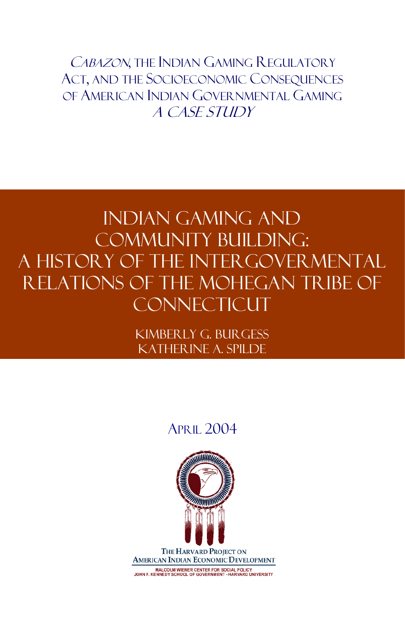CABAZON, THE INDIAN GAMING REGULATORY ACT, AND THE SOCIOECONOMIC CONSEQUENCES OF AMERICAN INDIAN GOVERNMENTAL GAMING A Case Study

# INDIAN GAMING AND COMMUNITY BUILDING: A HISTORY OF THE INTERGOVERMENTAL RELATIONS OF THE MOHEGAN TRIBE OF **CONNECTICUT**

Kimberly G. Burgess Katherine A. Spilde

## APRIL 2004

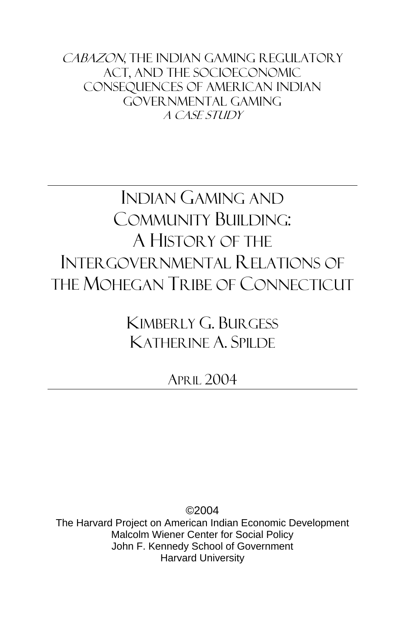CABAZON, THE INDIAN GAMING REGULATORY Act, and the Socioeconomic Consequences of American Indian Governmental Gaming A Case Study

# INDIAN GAMING AND COMMUNITY BUILDING: A HISTORY OF THE INTERGOVERNMENTAL RELATIONS OF THE MOHEGAN TRIBE OF CONNECTICUT

KIMBERLY G. BURGESS KATHERINE A. SPILDE

APRIL 2004

©2004 The Harvard Project on American Indian Economic Development Malcolm Wiener Center for Social Policy John F. Kennedy School of Government Harvard University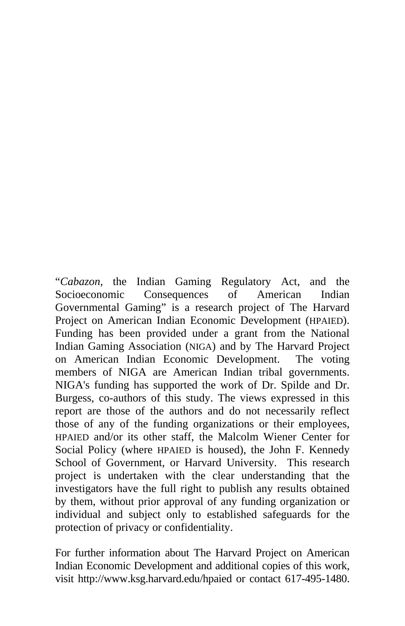"*Cabazon*, the Indian Gaming Regulatory Act, and the Socioeconomic Consequences of American Indian Governmental Gaming" is a research project of The Harvard Project on American Indian Economic Development (HPAIED). Funding has been provided under a grant from the National Indian Gaming Association (NIGA) and by The Harvard Project on American Indian Economic Development. The voting members of NIGA are American Indian tribal governments. NIGA's funding has supported the work of Dr. Spilde and Dr. Burgess, co-authors of this study. The views expressed in this report are those of the authors and do not necessarily reflect those of any of the funding organizations or their employees, HPAIED and/or its other staff, the Malcolm Wiener Center for Social Policy (where HPAIED is housed), the John F. Kennedy School of Government, or Harvard University. This research project is undertaken with the clear understanding that the investigators have the full right to publish any results obtained by them, without prior approval of any funding organization or individual and subject only to established safeguards for the protection of privacy or confidentiality.

For further information about The Harvard Project on American Indian Economic Development and additional copies of this work, visit http://www.ksg.harvard.edu/hpaied or contact 617-495-1480.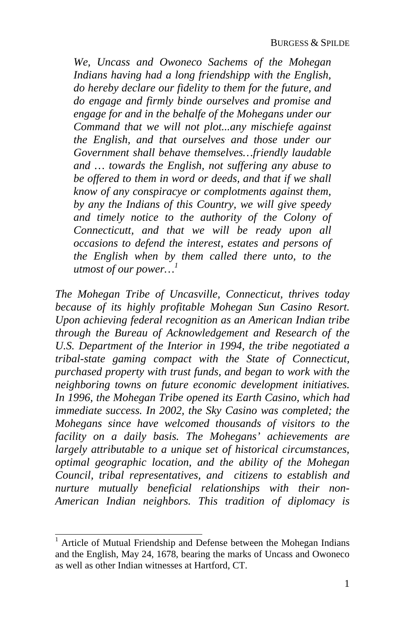*We, Uncass and Owoneco Sachems of the Mohegan Indians having had a long friendshipp with the English, do hereby declare our fidelity to them for the f[ut](#page-4-0)ure, and do engage and firmly binde ourselves and promise and engage for and in the behalfe of the Mohegans under our Command that we will not plot...any mischiefe against the English, and that ourselves and those under our Government shall behave themselves…friendly laudable and … towards the English, not suffering any abuse to be offered to them in word or deeds, and that if we shall know of any conspiracye or complotments against them, by any the Indians of this Country, we will give speedy and timely notice to the authority of the Colony of Connecticutt, and that we will be ready upon all occasions to defend the interest, estates and persons of the English when by them called there unto, to the utmost of our power… 1*

*The Mohegan Tribe of Uncasville, Connecticut, thrives today because of its highly profitable Mohegan Sun Casino Resort. Upon achieving federal recognition as an American Indian tribe through the Bureau of Acknowledgement and Research of the U.S. Department of the Interior in 1994, the tribe negotiated a tribal-state gaming compact with the State of Connecticut, purchased property with trust funds, and began to work with the neighboring towns on future economic development initiatives. In 1996, the Mohegan Tribe opened its Earth Casino, which had immediate success. In 2002, the Sky Casino was completed; the Mohegans since have welcomed thousands of visitors to the facility on a daily basis. The Mohegans' achievements are largely attributable to a unique set of historical circumstances, optimal geographic location, and the ability of the Mohegan Council, tribal representatives, and citizens to establish and nurture mutually beneficial relationships with their non-American Indian neighbors. This tradition of diplomacy is* 

 $\overline{a}$ 

<span id="page-4-0"></span><sup>1</sup> Article of Mutual Friendship and Defense between the Mohegan Indians and the English, May 24, 1678, bearing the marks of Uncass and Owoneco as well as other Indian witnesses at Hartford, CT.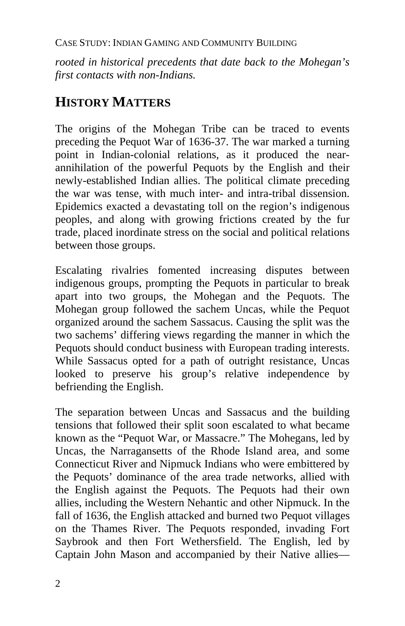*rooted in historical precedents that date back to the Mohegan's first contacts with non-Indians.* 

## **HISTORY MATTERS**

The origins of the Mohegan Tribe can be traced to events preceding the Pequot War of 1636-37. The war marked a turning point in Indian-colonial relations, as it produced the nearannihilation of the powerful Pequots by the English and their newly-established Indian allies. The political climate preceding the war was tense, with much inter- and intra-tribal dissension. Epidemics exacted a devastating toll on the region's indigenous peoples, and along with growing frictions created by the fur trade, placed inordinate stress on the social and political relations between those groups.

Escalating rivalries fomented increasing disputes between indigenous groups, prompting the Pequots in particular to break apart into two groups, the Mohegan and the Pequots. The Mohegan group followed the sachem Uncas, while the Pequot organized around the sachem Sassacus. Causing the split was the two sachems' differing views regarding the manner in which the Pequots should conduct business with European trading interests. While Sassacus opted for a path of outright resistance, Uncas looked to preserve his group's relative independence by befriending the English.

The separation between Uncas and Sassacus and the building tensions that followed their split soon escalated to what became known as the "Pequot War, or Massacre." The Mohegans, led by Uncas, the Narragansetts of the Rhode Island area, and some Connecticut River and Nipmuck Indians who were embittered by the Pequots' dominance of the area trade networks, allied with the English against the Pequots. The Pequots had their own allies, including the Western Nehantic and other Nipmuck. In the fall of 1636, the English attacked and burned two Pequot villages on the Thames River. The Pequots responded, invading Fort Saybrook and then Fort Wethersfield. The English, led by Captain John Mason and accompanied by their Native allies—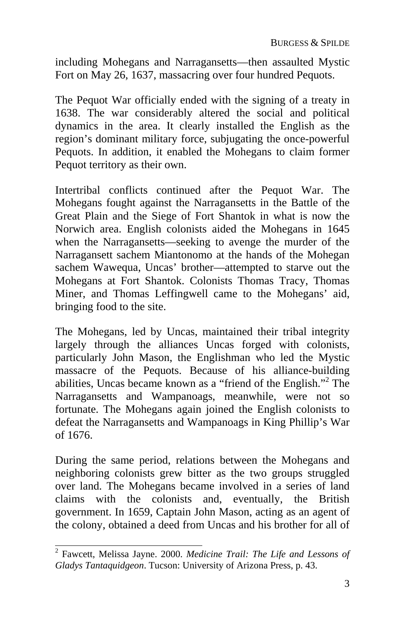including Mohegans and Narragansetts—then assaulted Mystic Fort on May 26, 1637, massacring over four hundred Pequots.

The Pequot War officially ended with the signing of a treaty in 1638. The war considerably altered the social and political dynamics in the area. It clearly installed the English as the region's dominant military force, subjugating the once-powerful Pequots. In addition, it enabled the Mohegans to claim former Pequot territory as their own.

Intertribal conflicts continued after the Pequot War. The Mohegans fought against the Narragansetts in the Battle of the Great Plain and the Siege of Fort Shantok in what is now the Norwich area. English colonists aided the Mohegans in 1645 when the Narragansetts—seeking to avenge the murder of the Narragansett sachem Miantonomo at the hands of the Mohegan sachem Wawequa, Uncas' brother—attempted to starve out the Mohegans at Fort Shantok. Colonists Thomas Tracy, Thomas Miner, and Thomas Leffingwell came to the Mohegans' aid, bringing food to the site.

The Mohegans, led by Uncas, maintained their tribal integrity largely through the alliances Uncas forged with colonists, particularly John Mason, the Englishman who led the Mystic massacre of the Pequots. Because of his alliance-building abilities, Uncas became known as a "friend of the English."<sup>2</sup> The Narragansetts and Wampanoags, meanwhile, were not so fortunate. The Mohegans again joined the English colonists to defeat the Narragansetts and Wampanoags in King Phillip's War of 1676.

During the same period, relations between the Mohegans and neighboring colonists grew bitter as the two groups struggled over land. The Mohegans became involved in a series of land claims with the colonists and, eventually, the British government. In 1659, Captain John Mason, acting as an agent of the colony, obtained a deed from Uncas and his brother for all of

 2 Fawcett, Melissa Jayne. 2000. *Medicine Trail: The Life and Lessons of Gladys Tantaquidgeon*. Tucson: University of Arizona Press, p. 43.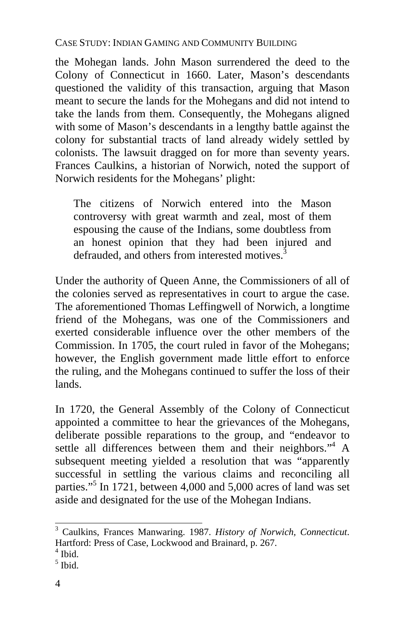the Mohegan lands. John Mason surrendered the deed to the Colony of Connecticut in 1660. Later, Mason's descendants questioned the validity of this transaction, arguing that Mason meant to secure the lands for the Mohegans and did not intend to take the lands from them. Consequently, the Mohegans aligned with some of Mason's descendants in a lengthy battle against the colony for substantial tracts of land already widely settled by colonists. The lawsuit dragged on for more than seventy years. Frances Caulkins, a historian of Norwich, noted the support of Norwich residents for the Mohegans' plight:

The citizens of Norwich entered into the Mason controversy with great warmth and zeal, most of them espousing the cause of the Indians, some doubtless from an honest opinion that they had been injured and defrauded, and others from interested motives.<sup>3</sup>

Under the authority of Queen Anne, the Commissioners of all of the colonies served as representatives in court to argue the case. The aforementioned Thomas Le[ffi](#page-7-0)ngwell of Norwich, a longtime friend of the Mohegans, was one of the Commissioners and exerted considerable influence over the other members of the Commission. In 1705, the court ruled in favor of the Mohegans; however, the English government made little effort to enforce the ruling, and the Mohegans continued to suffer the loss of their lands.

In 1720, the General Assembly of the Colony of Connecticut appointed a committee to hear the grievances of the Mohegans, deliberate possible reparations to the group, and "endeavor to settle all differences between them and their neighbors."<sup>4</sup> A subsequent meeting yielded a resolution that was "apparently successful in settling the various claims and reconciling all parties."<sup>5</sup> In 1721, between 4,000 and 5,000 acres of land was set aside and designated for the use of the Mohegan Indians.

 3 Caulkins, Frances Manwaring. 1987. *History of Norwich, Connecticut*. Hartford: Press of Case, Lockwood and Brainard, p. 267. 4

 $<sup>4</sup>$  Ibid.</sup>

<span id="page-7-0"></span> $<sup>5</sup>$  Ibid.</sup>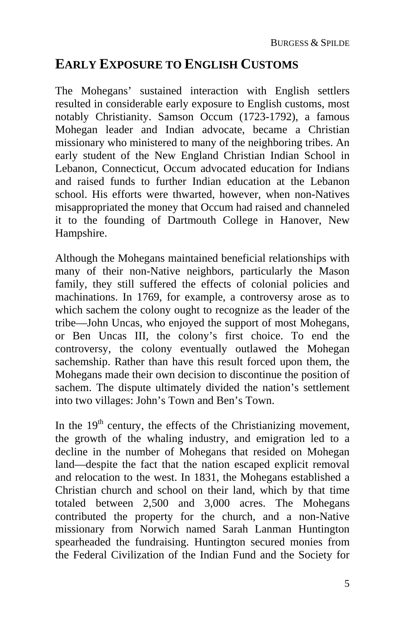### **EARLY EXPOSURE TO ENGLISH CUSTOMS**

The Mohegans' sustained interaction with English settlers resulted in considerable early exposure to English customs, most notably Christianity. Samson Occum (1723-1792), a famous Mohegan leader and Indian advocate, became a Christian missionary who ministered to many of the neighboring tribes. An early student of the New England Christian Indian School in Lebanon, Connecticut, Occum advocated education for Indians and raised funds to further Indian education at the Lebanon school. His efforts were thwarted, however, when non-Natives misappropriated the money that Occum had raised and channeled it to the founding of Dartmouth College in Hanover, New Hampshire.

Although the Mohegans maintained beneficial relationships with many of their non-Native neighbors, particularly the Mason family, they still suffered the effects of colonial policies and machinations. In 1769, for example, a controversy arose as to which sachem the colony ought to recognize as the leader of the tribe—John Uncas, who enjoyed the support of most Mohegans, or Ben Uncas III, the colony's first choice. To end the controversy, the colony eventually outlawed the Mohegan sachemship. Rather than have this result forced upon them, the Mohegans made their own decision to discontinue the position of sachem. The dispute ultimately divided the nation's settlement into two villages: John's Town and Ben's Town.

In the  $19<sup>th</sup>$  century, the effects of the Christianizing movement, the growth of the whaling industry, and emigration led to a decline in the number of Mohegans that resided on Mohegan land—despite the fact that the nation escaped explicit removal and relocation to the west. In 1831, the Mohegans established a Christian church and school on their land, which by that time totaled between 2,500 and 3,000 acres. The Mohegans contributed the property for the church, and a non-Native missionary from Norwich named Sarah Lanman Huntington spearheaded the fundraising. Huntington secured monies from the Federal Civilization of the Indian Fund and the Society for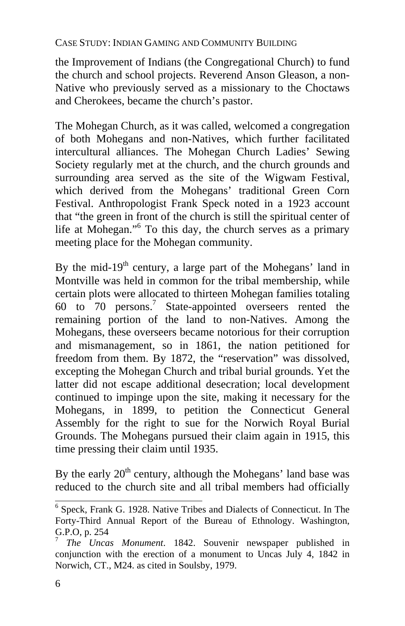the Improvement of Indians (the Congregational Church) to fund the church and school projects. Reverend Anson Gleason, a non-Native who previously served as a missionary to the Choctaws and Cherokees, became the church's pastor.

The Mohegan Church, as it was called, welco[m](#page-9-1)ed a congregation of both Mohegans and non-Natives, which further facilitated intercultural alliances. The Mohegan Church Ladies' Sewing Society regularly met at the church, and the church grounds and surrounding area served as the site of the Wigwam Festival, which derived from the Mohegans' traditional Green Corn Festival. Anthropologist Frank Speck noted in a 1923 account that "the green in front of the church is still the spiritual center of life at Mohegan."<sup>6</sup> To this day, the church serves as a primary meeting place for the Mohegan community.

By the mid-19th century, a large part of the Mohegans' land in Montville was held in common for the tribal membership, while certain plots were allocated to thirteen Mohegan families totaling 60 to 70 persons.<sup>7</sup> State-appointed overseers rented the remaining portion of the land to non-Natives. Among the Mohegans, these overseers became notorious for their corruption and mismanagement, so in 1861, the nation petitioned for freedom from them. By 1872, the "reservation" was dissolved, excepting the Mohegan Church and tribal burial grounds. Yet the latter did not escape additional desecration; local development continued to impinge upon the site, making it necessary for the Mohegans, in 1899, to petition the Connecticut General Assembly for the right to sue for the Norwich Royal Burial Grounds. The Mohegans pursued their claim again in 1915, this time pressing their claim until 1935.

By the early  $20<sup>th</sup>$  century, although the Mohegans' land base was reduced to the church site and all tribal members had officially

<span id="page-9-0"></span><sup>&</sup>lt;sup>6</sup> Speck, Frank G. 1928. Native Tribes and Dialects of Connecticut. In The Forty-Third Annual Report of the Bureau of Ethnology. Washington, G.P.O, p. 254

<span id="page-9-1"></span><sup>7</sup> *The Uncas Monument*. 1842. Souvenir newspaper published in conjunction with the erection of a monument to Uncas July 4, 1842 in Norwich, CT., M24. as cited in Soulsby, 1979.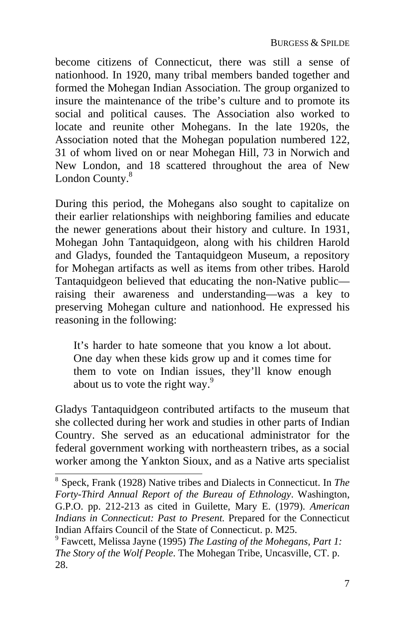become citizens of Connecticut, there was still a sense of nationhood. In 1920, many tribal members banded together and formed the Mohegan Indian Association. The group organized to insure the maintenance of the tribe's culture and to promote its social and political causes. The Association also worked to locate and reunite other Mohegans. In the late 1920s, the Association noted that the Mohegan population numbered 122, 31 of whom lived on or near Mohegan Hill, 73 in Norwich and New London, and 18 scattered throughout the area of New London County.<sup>8</sup>

During this period, the Mohegans also sought to capital[iz](#page-10-0)e on their earlier relationships with neighboring families and educate the newer generations about their history and culture. In 1931, Mohegan John Tantaquidgeon, along with his children Harold and Gladys, founded the Tantaquidgeon Museum, a repository for Mohegan artifacts as well as items from other tribes. Harold Tantaquidgeon believed that educating the non-Native public raising their awareness and understanding—was a key to preserving Mohegan culture and nationhood. He expressed his reasoning in the following:

It's harder to hate someone that you know a lot about. One day when these kids grow up and it comes time for them to vote on Indian issues, they'll know enough about us to vote the right way. $9$ 

Gladys Tantaquidgeon contributed artifacts to the museum that she collected during her work and studies in other parts of Indian Country. She served as an educational administrator for the federal government working with northeastern tribes, as a social worker among the Yankton Sioux, and as a Native arts specialist

<sup>8</sup> Speck, Frank (1928) Native tribes and Dialects in Connecticut. In *The Forty-Third Annual Report of the Bureau of Ethnology*. Washington, G.P.O. pp. 212-213 as cited in Guilette, Mary E. (1979). *American Indians in Connecticut: Past to Present.* Prepared for the Connecticut Indian Affairs Council of the State of Connecticut. p. M25.

<span id="page-10-0"></span>Fawcett, Melissa Jayne (1995) *The Lasting of the Mohegans, Part 1: The Story of the Wolf People*. The Mohegan Tribe, Uncasville, CT. p. 28.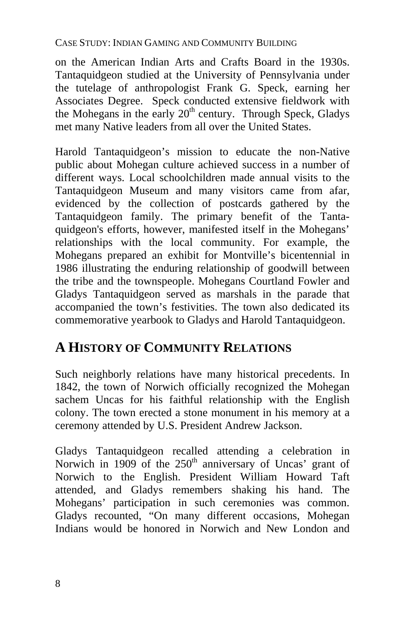on the American Indian Arts and Crafts Board in the 1930s. Tantaquidgeon studied at the University of Pennsylvania under the tutelage of anthropologist Frank G. Speck, earning her Associates Degree. Speck conducted extensive fieldwork with the Mohegans in the early  $20<sup>th</sup>$  century. Through Speck, Gladys met many Native leaders from all over the United States.

Harold Tantaquidgeon's mission to educate the non-Native public about Mohegan culture achieved success in a number of different ways. Local schoolchildren made annual visits to the Tantaquidgeon Museum and many visitors came from afar, evidenced by the collection of postcards gathered by the Tantaquidgeon family. The primary benefit of the Tantaquidgeon's efforts, however, manifested itself in the Mohegans' relationships with the local community. For example, the Mohegans prepared an exhibit for Montville's bicentennial in 1986 illustrating the enduring relationship of goodwill between the tribe and the townspeople. Mohegans Courtland Fowler and Gladys Tantaquidgeon served as marshals in the parade that accompanied the town's festivities. The town also dedicated its commemorative yearbook to Gladys and Harold Tantaquidgeon.

### **A HISTORY OF COMMUNITY RELATIONS**

Such neighborly relations have many historical precedents. In 1842, the town of Norwich officially recognized the Mohegan sachem Uncas for his faithful relationship with the English colony. The town erected a stone monument in his memory at a ceremony attended by U.S. President Andrew Jackson.

Gladys Tantaquidgeon recalled attending a celebration in Norwich in 1909 of the  $250<sup>th</sup>$  anniversary of Uncas' grant of Norwich to the English. President William Howard Taft attended, and Gladys remembers shaking his hand. The Mohegans' participation in such ceremonies was common. Gladys recounted, "On many different occasions, Mohegan Indians would be honored in Norwich and New London and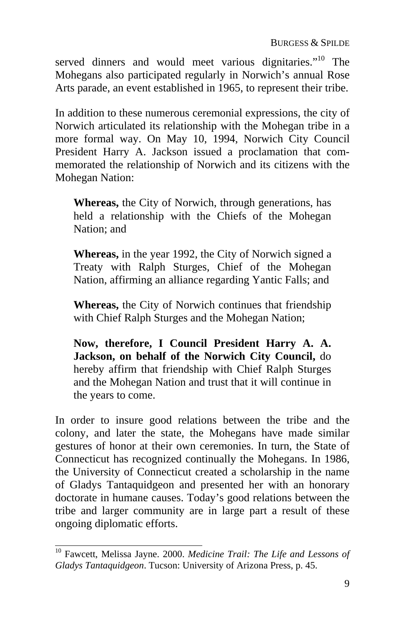served dinners and would meet various dignitaries."<sup>10</sup> The Mohegans also participated regularly in Norwich's annual Rose Arts parade, an event established in 1965, to represent their tribe.

In addition to these numerous ceremonial expressions, the city of Norwich articulated its relationship with the Mohegan tribe in a more formal way. On May 10, 1994, Norwich City Council President Harry A. Jackson issued a proclamation that commemorated the relationship of Norwich and its citizens with the Mohegan Nation:

**Whereas,** the City of Norwich, through generations, has held a relationship with the Chiefs of the Mohegan Nation; and

**Whereas,** in the year 1992, the City of Norwich signed a Treaty with Ralph Sturges, Chief of the Mohegan Nation, affirming an alliance regarding Yantic Falls; and

**Whereas,** the City of Norwich continues that friendship with Chief Ralph Sturges and the Mohegan Nation;

**Now, therefore, I Council President Harry A. A. Jackson, on behalf of the Norwich City Council,** do hereby affirm that friendship with Chief Ralph Sturges and the Mohegan Nation and trust that it will continue in the years to come.

In order to insure good relations between the tribe and the colony, and later the state, the Mohegans have made similar gestures of honor at their own ceremonies. In turn, the State of Connecticut has recognized continually the Mohegans. In 1986, the University of Connecticut created a scholarship in the name of Gladys Tantaquidgeon and presented her with an honorary doctorate in humane causes. Today's good relations between the tribe and larger community are in large part a result of these ongoing diplomatic efforts.

 <sup>10</sup> Fawcett, Melissa Jayne. 2000. *Medicine Trail: The Life and Lessons of Gladys Tantaquidgeon*. Tucson: University of Arizona Press, p. 45.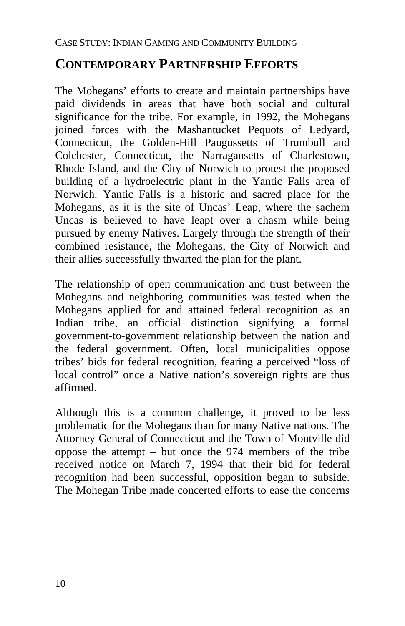### **CONTEMPORARY PARTNERSHIP EFFORTS**

The Mohegans' efforts to create and maintain partnerships have paid dividends in areas that have both social and cultural significance for the tribe. For example, in 1992, the Mohegans joined forces with the Mashantucket Pequots of Ledyard, Connecticut, the Golden-Hill Paugussetts of Trumbull and Colchester, Connecticut, the Narragansetts of Charlestown, Rhode Island, and the City of Norwich to protest the proposed building of a hydroelectric plant in the Yantic Falls area of Norwich. Yantic Falls is a historic and sacred place for the Mohegans, as it is the site of Uncas' Leap, where the sachem Uncas is believed to have leapt over a chasm while being pursued by enemy Natives. Largely through the strength of their combined resistance, the Mohegans, the City of Norwich and their allies successfully thwarted the plan for the plant.

The relationship of open communication and trust between the Mohegans and neighboring communities was tested when the Mohegans applied for and attained federal recognition as an Indian tribe, an official distinction signifying a formal government-to-government relationship between the nation and the federal government. Often, local municipalities oppose tribes' bids for federal recognition, fearing a perceived "loss of local control" once a Native nation's sovereign rights are thus affirmed.

Although this is a common challenge, it proved to be less problematic for the Mohegans than for many Native nations. The Attorney General of Connecticut and the Town of Montville did oppose the attempt – but once the 974 members of the tribe received notice on March 7, 1994 that their bid for federal recognition had been successful, opposition began to subside. The Mohegan Tribe made concerted efforts to ease the concerns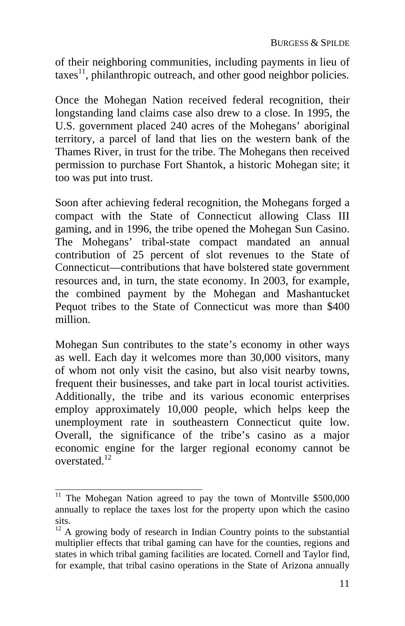of their neighboring communities, including payments in lieu of  $\arccos<sup>11</sup>$ , philanthropic outreach, and other good neighbor policies.

Once the Mohegan Nation received federal recognition, their longstanding land claims case also drew to a close. In 1995, the U.S. government placed 240 acres of the Mohegans' aboriginal territory, a parcel of land that lies on the western bank of the Thames River, in trust for the tribe. The Mohegans then received permission to purchase Fort Shantok, a historic Mohegan site; it too was put into trust.

Soon after achieving federal recognition, the Mohegans forged a compact with the State of Connecticut allowing Class III gaming, and in 1996, the tribe opened the Mohegan Sun Casino. The Mohegans' tribal-state compact mandated an annual contribution of 25 percent of slot revenues to the State of Connecticut—contributions that have bolstered state government resources and, in turn, the state ec[ono](#page-14-0)my. In 2003, for example, the combined payment by the Mohegan and Mashantucket Pequot tribes to the State of Connecticut was more than \$400 million.

Mohegan Sun contributes to the state's economy in other ways as well. Each day it welcomes more than 30,000 visitors, many of whom not only visit the casino, but also visit nearby towns, frequent their businesses, and take part in local tourist activities. Additionally, the tribe and its various economic enterprises employ approximately 10,000 people, which helps keep the unemployment rate in southeastern Connecticut quite low. Overall, the significance of the tribe's casino as a major economic engine for the larger regional economy cannot be overstated.12

 $\frac{11}{11}$  The Mohegan Nation agreed to pay the town of Montville \$500,000 annually to replace the taxes lost for the property upon which the casino sits.

<span id="page-14-0"></span> $12$ <sup>12</sup> A growing body of research in Indian Country points to the substantial multiplier effects that tribal gaming can have for the counties, regions and states in which tribal gaming facilities are located. Cornell and Taylor find, for example, that tribal casino operations in the State of Arizona annually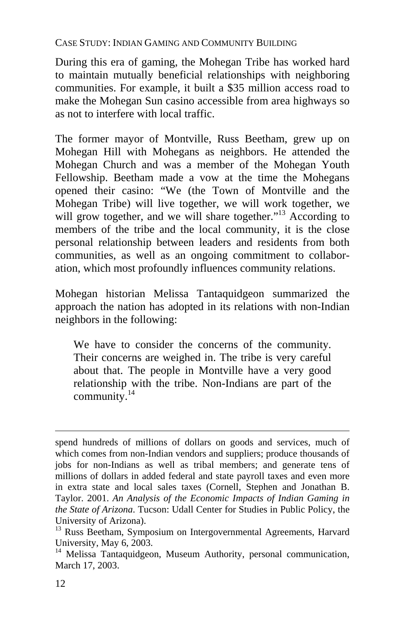During this era of gaming, the Mohegan Tribe has worked hard to maintain mutually beneficial relationships with neighboring communities. For example, it built a \$35 million access road to make the Mohegan Sun casino accessible from area highways so as not to interfere with local traffic.

The former mayor of Montville, Russ Beetham, grew up on Mohegan Hill with Mohegans as neighbors. He attended the Mohegan Church and was a member of the Mohegan Youth Fellowship. Beetham made a vow at the time the Mohegans opened their casino: "We (the Town of Montville and the Mohegan Tribe) will live together, we will work together, we will grow t[oge](#page-15-0)ther, and we will share together."<sup>13</sup> According to members of the tribe and the local community, it is the close personal relationship between leaders and residents from both communities, as well as an ongoing commitment to collaboration, which most profoundly influences community relations.

Mohegan historian Melissa Tantaquidgeon summarized the approach the nation has adopted in its relations with non-Indian neighbors in the following:

We have to consider the concerns of the community. Their concerns are weighed in. The tribe is very careful about that. The people in Montville have a very good relationship with the tribe. Non-Indians are part of the community. 14

 $\overline{a}$ 

spend hundreds of millions of dollars on goods and services, much of which comes from non-Indian vendors and suppliers; produce thousands of jobs for non-Indians as well as tribal members; and generate tens of millions of dollars in added federal and state payroll taxes and even more in extra state and local sales taxes (Cornell, Stephen and Jonathan B. Taylor. 2001. *An Analysis of the Economic Impacts of Indian Gaming in the State of Arizona*. Tucson: Udall Center for Studies in Public Policy, the

University of Arizona).<br><sup>13</sup> Russ Beetham, Symposium on Intergovernmental Agreements, Harvard University, May 6, 2003.<br><sup>14</sup> Melissa Tantaquidgeon, Museum Authority, personal communication,

<span id="page-15-0"></span>March 17, 2003.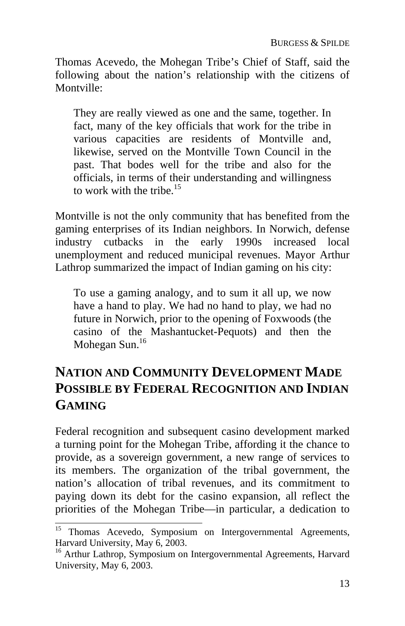Thomas Acevedo, the Mohegan Tribe's Chief of Staff, said the following about the nation's relationship with the citizens of Montville:

They are really viewed as one and the same, together. In fact, many of the key officials that work for the tribe in various capacities are residents of Montville and, likewise, served on the Montville To[wn](#page-16-0) Council in the past. That bodes well for the tribe and also for the officials, in terms of their understanding and willingness to work with the tribe.<sup>15</sup>

Montville is not the only community that has benefited from the gaming enterprises of its Indian neighbors. In Norwich, defense industry cutbacks in the early 1990s increased local unemployment and reduced municipal revenues. Mayor Arthur Lathrop summarized the impact of Indian gaming on his city:

To use a gaming analogy, and to sum it all up, we now have a hand to play. We had no hand to play, we had no future in Norwich, prior to the opening of Foxwoods (the casino of the Mashantucket-Pequots) and then the Mohegan Sun.16

### **NATION AND COMMUNITY DEVELOPMENT MADE POSSIBLE BY FEDERAL RECOGNITION AND INDIAN GAMING**

Federal recognition and subsequent casino development marked a turning point for the Mohegan Tribe, affording it the chance to provide, as a sovereign government, a new range of services to its members. The organization of the tribal government, the nation's allocation of tribal revenues, and its commitment to paying down its debt for the casino expansion, all reflect the priorities of the Mohegan Tribe—in particular, a dedication to

<sup>&</sup>lt;sup>15</sup> Thomas Acevedo, Symposium on Intergovernmental Agreements, Harvard University, May 6, 2003.<br><sup>16</sup> Arthur Lathrop, Symposium on Intergovernmental Agreements, Harvard

<span id="page-16-0"></span>University, May 6, 2003.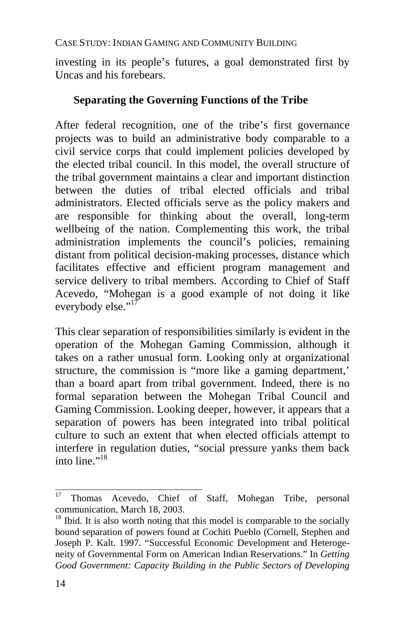investing in its people's futures, a goal demonstrated first by Uncas and his forebears.

#### **Separating the Governing Functions of the Tribe**

After federal recognition, one of the [trib](#page-17-0)e's first governance projects was to build an administrative body comparable to a civil service corps that could implement policies developed by the elected tribal council. In this model, the overall structure of the tribal government maintains a clear and important distinction between the duties of tribal elected officials and tribal administrators. Elected officials serve as the policy makers and are responsible for thinking about the overall, long-term wellbeing of the nation. Complementing this work, the tribal administration implements the council's policies, remaining distant from political decision-making processes, distance which facilitates effective and efficient program management and service delivery to tribal member[s. A](#page-17-1)ccording to Chief of Staff Acevedo, "Mohegan is a good example of not doing it like everybody else." $17$ 

This clear separation of responsibilities similarly is evident in the operation of the Mohegan Gaming Commission, although it takes on a rather unusual form. Looking only at organizational structure, the commission is "more like a gaming department,' than a board apart from tribal government. Indeed, there is no formal separation between the Mohegan Tribal Council and Gaming Commission. Looking deeper, however, it appears that a separation of powers has been integrated into tribal political culture to such an extent that when elected officials attempt to interfere in regulation duties, "social pressure yanks them back into line." $18$ 

<span id="page-17-0"></span><sup>17</sup> <sup>17</sup> Thomas Acevedo, Chief of Staff, Mohegan Tribe, personal communication, March 18, 2003.

<span id="page-17-1"></span> $^{18}$  Ibid. It is also worth noting that this model is comparable to the socially bound separation of powers found at Cochiti Pueblo (Cornell, Stephen and Joseph P. Kalt. 1997. "Successful Economic Development and Heterogeneity of Governmental Form on American Indian Reservations." In *Getting Good Government: Capacity Building in the Public Sectors of Developing*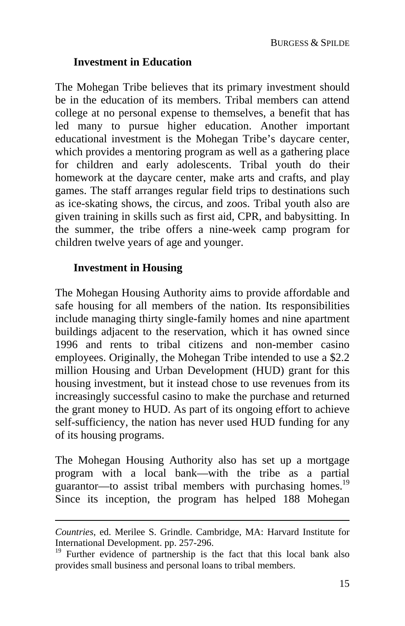#### **Investment in Education**

The Mohegan Tribe believes that its primary investment should be in the education of its members. Tribal members can attend college at no personal expense to themselves, a benefit that has led many to pursue higher education. Another important educational investment is the Mohegan Tribe's daycare center, which provides a mentoring program as well as a gathering place for children and early adolescents. Tribal youth do their homework at the daycare center, make arts and crafts, and play games. The staff arranges regular field trips to destinations such as ice-skating shows, the circus, and zoos. Tribal youth also are given training in skills such as first aid, CPR, and babysitting. In the summer, the tribe offers a nine-week camp program for children twelve years of age and younger.

#### **Investment in Housing**

 $\overline{a}$ 

The Mohegan Housing Authority aims to provide affordable and safe housing for all members of the nation. Its responsibilities include managing thirty single-family homes and nine apartment buildings adjacent to the reservation, which it has owned since 1996 and rents to tribal citizens and non-member casino employees. Originally, the Mohegan Tribe intended to use a \$2.2 million Housing and Urban Development (HUD) grant for this housing investment, but it instead chose to use revenues from its increasingly successful casino to make the purchase and returned the grant money to HUD. As part of its ongoing effort to achieve self-sufficiency, the nation has never used HUD funding for any of its housing programs.

The Mohegan Housing Authority also has set up a mortgage program with a local bank—with the tribe as a partial guarantor—to assist tribal members with purchasing homes.<sup>19</sup> Since its inception, the program has helped 188 Mohegan

*Countries*, ed. Merilee S. Grindle. Cambridge, MA: Harvard Institute for International Development. pp. 257-296.<br><sup>19</sup> Further evidence of partnership is the fact that this local bank also

provides small business and personal loans to tribal members.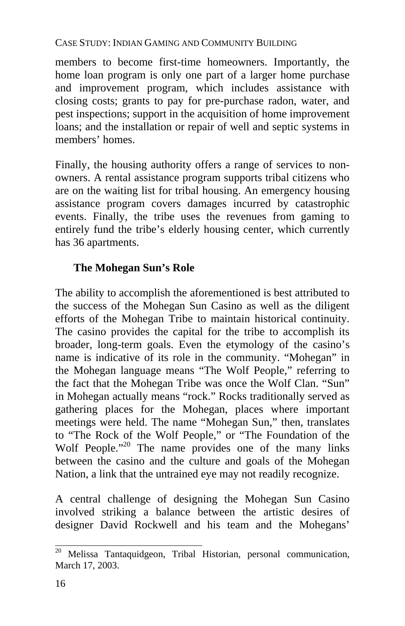members to become first-time homeowners. Importantly, the home loan program is only one part of a larger home purchase and improvement program, which includes assistance with closing costs; grants to pay for pre-purchase radon, water, and pest inspections; support in the acquisition of home improvement loans; and the installation or repair of well and septic systems in members' homes.

Finally, the housing authority offers a range of services to nonowners. A rental assistance program supports tribal citizens who are on the waiting list for tribal housing. An emergency housing assistance program covers damages incurred by catastrophic events. Finally, the tribe uses the revenues from gaming to entirely fund the tribe's elderly housing center, which currently has 36 apartments.

### **The Mohegan Sun's Role**

The ability to accomplish the aforementioned is best attributed to the success of the Mohegan Sun Casino as well as the diligent efforts of the Mohegan Tribe to maintain historical continuity. The casino provides the capital for the tribe to accomplish its broader, long-term goals. Even the etymology of the casino's name is indicative of its role in the community. "Mohegan" in the Mohegan language means "The Wolf People," referring to the fact that the Mohegan Tribe was once the Wolf Clan. "Sun" in Mohegan actually means "rock." Rocks traditionally served as gathering places for the Mohegan, places where important meetings were held. The name "Mohegan Sun," then, translates to "The Rock of the Wolf People," or "The Foundation of the Wolf People."<sup>20</sup> The name provides one of the many links between the casino and the culture and goals of the Mohegan Nation, a link that the untrained eye may not readily recognize.

A central challenge of designing the Mohegan Sun Casino involved striking a balance between the artistic desires of designer David Rockwell and his team and the Mohegans'

 $\overline{a}$ 

<sup>20</sup> Melissa Tantaquidgeon, Tribal Historian, personal communication, March 17, 2003.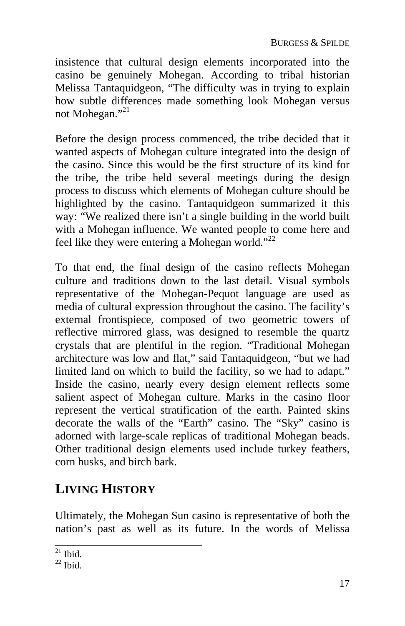insistence that cultural design elements incorporated into the casino be genuinely Mohegan. According to tribal historian Melissa Tantaquidgeon, "The difficulty was in trying to explain how subtle differences made something look Mohegan versus not Mohegan."<sup>21</sup>

Before the design process commenced, the tribe decided that it wanted aspects of Mohegan culture integrated into the design of the casino. Since this would be the first structure of its kind for the tribe, the tribe held several meetings during the design process to discuss which elements of Mohegan culture should be highlighted by the casino. Tantaquidgeon summarized it this way: "We realized there isn't a single building in the world built with a Mohegan influence. We wanted people to come here and feel like they were entering a Mohegan world."<sup>22</sup>

To that end, the final design of the casino reflects Mohegan culture and traditions down to the last detail. Visual symbols representative of the Mohegan-Pequot language are used as media of cultural expression throughout the casino. The facility's external frontispiece, composed of two geometric towers of reflective mirrored glass, was designed to resemble the quartz crystals that are plentiful in the region. "Traditional Mohegan architecture was low and flat," said Tantaquidgeon, "but we had limited land on which to build the facility, so we had to adapt." Inside the casino, nearly every design element reflects some salient aspect of Mohegan culture. Marks in the casino floor represent the vertical stratification of the earth. Painted skins decorate the walls of the "Earth" casino. The "Sky" casino is adorned with large-scale replicas of traditional Mohegan beads. Other traditional design elements used include turkey feathers, corn husks, and birch bark.

### **LIVING HISTORY**

Ultimately, the Mohegan Sun casino is representative of both the nation's past as well as its future. In the words of Melissa

 $^{21}$  Ibid.

 $22$  Ibid.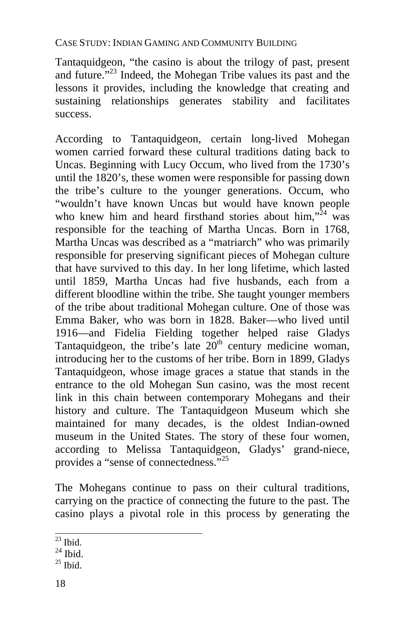Tantaquidgeon, "the casino is about the trilogy of past, present and future."23 Indeed, the Mohegan Tribe values its past and the lessons it provides, including the knowledge that creating and sustaining relationships generates stability and facilitates success.

According to Tantaquidgeon, certain long-lived Mohegan women carried forward these cultural traditions dating back to Uncas. Beginning with Lucy Occum, who lived from the 1730's until the 1820's, these women were responsible for passing down the tribe's culture to the younger generations. Occum, who "wouldn't have known Uncas but would have known people who knew him and heard firsthand stories about him," $24$  was responsible for the teaching of Martha Uncas. Born in 1768, Martha Uncas was described as a "matriarch" who was primarily responsible for preserving significant pieces of Mohegan culture that have survived to this day. In her long lifetime, which lasted until 1859, Martha Uncas had five husbands, each fro[m](#page-21-0) a different bloodline within the tribe. She taught younger members of the tribe about traditional Mohegan culture. One of those was Emma Baker, who was born in 1828. Baker—who lived until 1916—and Fidelia Fielding together helped raise Gladys Tantaquidgeon, the tribe's late  $20<sup>th</sup>$  century medicine woman, introducing her to the customs of her tribe. Born in 1899, Gladys Tantaquidgeon, whose image graces a statue that stands in the entrance to the old Mohegan Sun casino, was the most recent link in this chain between contemporary Mohegans and their history and culture. The Tantaquidgeon Museum which she maintained for many decades, is the oldest Indian-owned museum in the United States. The story of these four women, according to Melissa Tantaquidgeon, Gladys' grand-niece, provides a "sense of connectedness."25

The Mohegans continue to pass on their cultural traditions, carrying on the practice of connecting the future to the past. The casino plays a pivotal role in this process by generating the

 $^{23}$  Ibid.

 $^{24}$  Ibid.<br> $^{25}$  Ibid.

<span id="page-21-0"></span>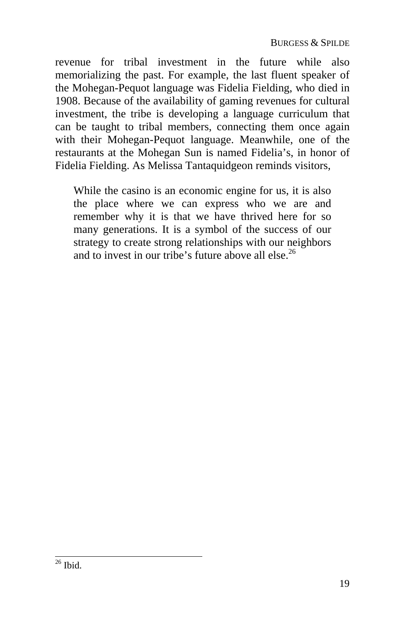revenue for tribal investment in the future while also memorializing the past. For example, the last fluent speaker of the Mohegan-Pequot language was Fidelia Fielding, who died in 1908. Because of the availability of gaming revenues for cultural investment, the tribe is developing a language curriculum that can be taught to tribal members, connecting them once again with their Mohegan-Pequot language. Meanwhile, one of the restaurants at the Mohegan Sun is named Fidelia's, in honor of Fidelia Fielding. As Melissa Tantaquidgeon reminds visitors,

While the casino is an economic engine for us, it is also the place where we can express who we are and remember why it is that we have thrived here for so many generations. It is a symbol of the success of our strategy to create strong relationships with our neighbors and to invest in our tribe's future above all else.<sup>26</sup>

 $26$  Ibid.